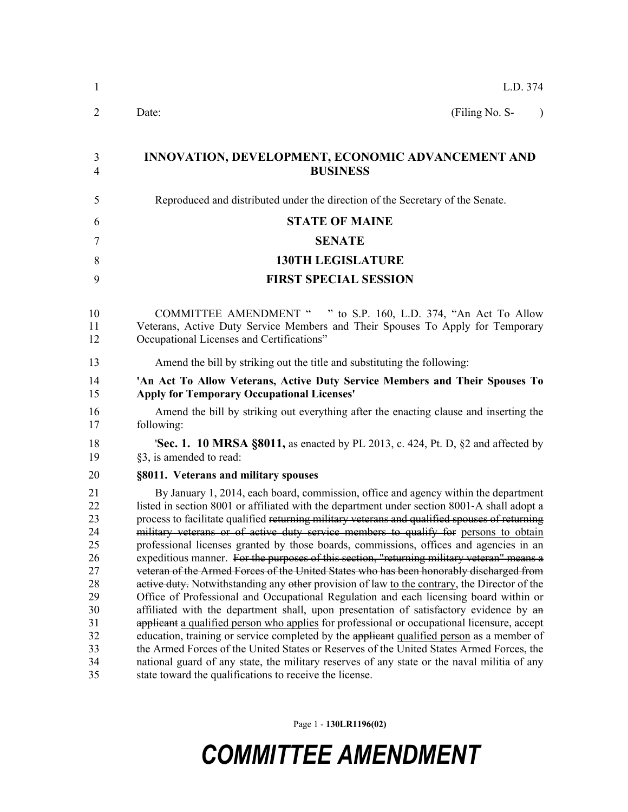| 1                                                                                      | L.D. 374                                                                                                                                                                                                                                                                                                                                                                                                                                                                                                                                                                                                                                                                                                                                                                                                                                                                                                                                                                                                                                                                                                                                                                                                                                                                                                                                                                                             |
|----------------------------------------------------------------------------------------|------------------------------------------------------------------------------------------------------------------------------------------------------------------------------------------------------------------------------------------------------------------------------------------------------------------------------------------------------------------------------------------------------------------------------------------------------------------------------------------------------------------------------------------------------------------------------------------------------------------------------------------------------------------------------------------------------------------------------------------------------------------------------------------------------------------------------------------------------------------------------------------------------------------------------------------------------------------------------------------------------------------------------------------------------------------------------------------------------------------------------------------------------------------------------------------------------------------------------------------------------------------------------------------------------------------------------------------------------------------------------------------------------|
| 2                                                                                      | (Filing No. S-<br>Date:<br>$\lambda$                                                                                                                                                                                                                                                                                                                                                                                                                                                                                                                                                                                                                                                                                                                                                                                                                                                                                                                                                                                                                                                                                                                                                                                                                                                                                                                                                                 |
| 3<br>4                                                                                 | INNOVATION, DEVELOPMENT, ECONOMIC ADVANCEMENT AND<br><b>BUSINESS</b>                                                                                                                                                                                                                                                                                                                                                                                                                                                                                                                                                                                                                                                                                                                                                                                                                                                                                                                                                                                                                                                                                                                                                                                                                                                                                                                                 |
| 5                                                                                      | Reproduced and distributed under the direction of the Secretary of the Senate.                                                                                                                                                                                                                                                                                                                                                                                                                                                                                                                                                                                                                                                                                                                                                                                                                                                                                                                                                                                                                                                                                                                                                                                                                                                                                                                       |
| 6                                                                                      | <b>STATE OF MAINE</b>                                                                                                                                                                                                                                                                                                                                                                                                                                                                                                                                                                                                                                                                                                                                                                                                                                                                                                                                                                                                                                                                                                                                                                                                                                                                                                                                                                                |
| 7                                                                                      | <b>SENATE</b>                                                                                                                                                                                                                                                                                                                                                                                                                                                                                                                                                                                                                                                                                                                                                                                                                                                                                                                                                                                                                                                                                                                                                                                                                                                                                                                                                                                        |
| 8                                                                                      | <b>130TH LEGISLATURE</b>                                                                                                                                                                                                                                                                                                                                                                                                                                                                                                                                                                                                                                                                                                                                                                                                                                                                                                                                                                                                                                                                                                                                                                                                                                                                                                                                                                             |
| 9                                                                                      | <b>FIRST SPECIAL SESSION</b>                                                                                                                                                                                                                                                                                                                                                                                                                                                                                                                                                                                                                                                                                                                                                                                                                                                                                                                                                                                                                                                                                                                                                                                                                                                                                                                                                                         |
| 10<br>11<br>12                                                                         | COMMITTEE AMENDMENT " " to S.P. 160, L.D. 374, "An Act To Allow<br>Veterans, Active Duty Service Members and Their Spouses To Apply for Temporary<br>Occupational Licenses and Certifications"                                                                                                                                                                                                                                                                                                                                                                                                                                                                                                                                                                                                                                                                                                                                                                                                                                                                                                                                                                                                                                                                                                                                                                                                       |
| 13                                                                                     | Amend the bill by striking out the title and substituting the following:                                                                                                                                                                                                                                                                                                                                                                                                                                                                                                                                                                                                                                                                                                                                                                                                                                                                                                                                                                                                                                                                                                                                                                                                                                                                                                                             |
| 14<br>15                                                                               | 'An Act To Allow Veterans, Active Duty Service Members and Their Spouses To<br><b>Apply for Temporary Occupational Licenses'</b>                                                                                                                                                                                                                                                                                                                                                                                                                                                                                                                                                                                                                                                                                                                                                                                                                                                                                                                                                                                                                                                                                                                                                                                                                                                                     |
| 16<br>17                                                                               | Amend the bill by striking out everything after the enacting clause and inserting the<br>following:                                                                                                                                                                                                                                                                                                                                                                                                                                                                                                                                                                                                                                                                                                                                                                                                                                                                                                                                                                                                                                                                                                                                                                                                                                                                                                  |
| 18<br>19                                                                               | <b>Sec. 1. 10 MRSA §8011,</b> as enacted by PL 2013, c. 424, Pt. D, §2 and affected by<br>§3, is amended to read:                                                                                                                                                                                                                                                                                                                                                                                                                                                                                                                                                                                                                                                                                                                                                                                                                                                                                                                                                                                                                                                                                                                                                                                                                                                                                    |
| 20                                                                                     | §8011. Veterans and military spouses                                                                                                                                                                                                                                                                                                                                                                                                                                                                                                                                                                                                                                                                                                                                                                                                                                                                                                                                                                                                                                                                                                                                                                                                                                                                                                                                                                 |
| 21<br>22<br>23<br>24<br>25<br>26<br>27<br>28<br>29<br>30<br>31<br>32<br>33<br>34<br>35 | By January 1, 2014, each board, commission, office and agency within the department<br>listed in section 8001 or affiliated with the department under section 8001-A shall adopt a<br>process to facilitate qualified returning military veterans and qualified spouses of returning<br>military veterans or of active duty service members to qualify for persons to obtain<br>professional licenses granted by those boards, commissions, offices and agencies in an<br>expeditious manner. For the purposes of this section, "returning military veteran" means a<br>veteran of the Armed Forces of the United States who has been honorably discharged from<br>active duty. Notwithstanding any other provision of law to the contrary, the Director of the<br>Office of Professional and Occupational Regulation and each licensing board within or<br>affiliated with the department shall, upon presentation of satisfactory evidence by an<br>applicant a qualified person who applies for professional or occupational licensure, accept<br>education, training or service completed by the applicant qualified person as a member of<br>the Armed Forces of the United States or Reserves of the United States Armed Forces, the<br>national guard of any state, the military reserves of any state or the naval militia of any<br>state toward the qualifications to receive the license. |

Page 1 - **130LR1196(02)**

## *COMMITTEE AMENDMENT*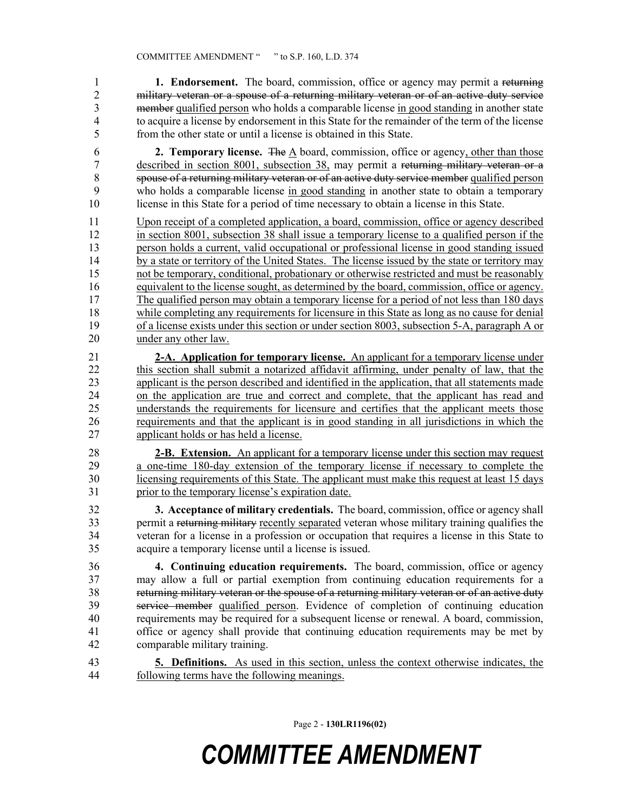1 **1. Endorsement.** The board, commission, office or agency may permit a returning 2 military veteran or a spouse of a returning military veteran or of an active duty service<br>3 member qualified person who holds a comparable license in good standing in another state member qualified person who holds a comparable license in good standing in another state 4 to acquire a license by endorsement in this State for the remainder of the term of the license 5 from the other state or until a license is obtained in this State.

6 **2. Temporary license.** The  $\underline{A}$  board, commission, office or agency, other than those 7 described in section 8001, subsection 38, may permit a returning military veteran or a 8 spouse of a returning military veteran or of an active duty service member qualified person 9 who holds a comparable license in good standing in another state to obtain a temporary 10 license in this State for a period of time necessary to obtain a license in this State.

11 Upon receipt of a completed application, a board, commission, office or agency described 12 in section 8001, subsection 38 shall issue a temporary license to a qualified person if the 13 person holds a current, valid occupational or professional license in good standing issued 14 by a state or territory of the United States. The license issued by the state or territory may 15 not be temporary, conditional, probationary or otherwise restricted and must be reasonably 16 equivalent to the license sought, as determined by the board, commission, office or agency. 17 The qualified person may obtain a temporary license for a period of not less than 180 days 18 while completing any requirements for licensure in this State as long as no cause for denial 19 of a license exists under this section or under section 8003, subsection 5-A, paragraph A or 20 under any other law.

21 **2-A. Application for temporary license.** An applicant for a temporary license under 22 this section shall submit a notarized affidavit affirming, under penalty of law, that the 23 applicant is the person described and identified in the application, that all statements made<br>24 on the application are true and correct and complete that the applicant has read and 24 on the application are true and correct and complete, that the applicant has read and understands the requirements for licensure and certifies that the applicant meets those 25 understands the requirements for licensure and certifies that the applicant meets those 26 requirements and that the applicant is in good standing in all jurisdictions in which the 27 applicant holds or has held a license.

28 **2-B. Extension.** An applicant for a temporary license under this section may request 29 a one-time 180-day extension of the temporary license if necessary to complete the 30 licensing requirements of this State. The applicant must make this request at least 15 days 31 prior to the temporary license's expiration date.

32 **3. Acceptance of military credentials.** The board, commission, office or agency shall 33 permit a returning military recently separated veteran whose military training qualifies the 34 veteran for a license in a profession or occupation that requires a license in this State to 35 acquire a temporary license until a license is issued.

36 **4. Continuing education requirements.** The board, commission, office or agency 37 may allow a full or partial exemption from continuing education requirements for a 38 returning military veteran or the spouse of a returning military veteran or of an active duty 39 service member qualified person. Evidence of completion of continuing education 40 requirements may be required for a subsequent license or renewal. A board, commission, 41 office or agency shall provide that continuing education requirements may be met by 42 comparable military training.

43 **5. Definitions.** As used in this section, unless the context otherwise indicates, the 44 following terms have the following meanings.

Page 2 - **130LR1196(02)**

## *COMMITTEE AMENDMENT*